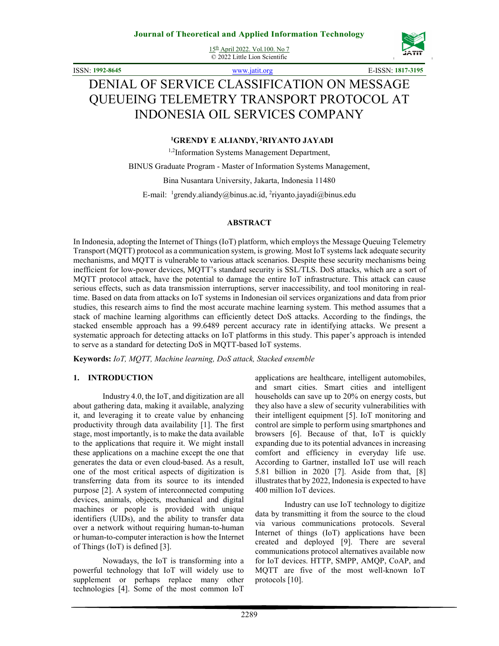15th April 2022. Vol.100. No 7 © 2022 Little Lion Scientific



ISSN: **1992-8645** www.jatit.org E-ISSN: **1817-3195**

# DENIAL OF SERVICE CLASSIFICATION ON MESSAGE QUEUEING TELEMETRY TRANSPORT PROTOCOL AT INDONESIA OIL SERVICES COMPANY

### **<sup>1</sup>GRENDY E ALIANDY,<sup>2</sup>RIYANTO JAYADI**

<sup>1,2</sup>Information Systems Management Department,

BINUS Graduate Program - Master of Information Systems Management,

Bina Nusantara University, Jakarta, Indonesia 11480

E-mail: <sup>1</sup>grendy.aliandy@binus.ac.id, <sup>2</sup>riyanto.jayadi@binus.edu

### **ABSTRACT**

In Indonesia, adopting the Internet of Things (IoT) platform, which employs the Message Queuing Telemetry Transport (MQTT) protocol as a communication system, is growing. Most IoT systems lack adequate security mechanisms, and MQTT is vulnerable to various attack scenarios. Despite these security mechanisms being inefficient for low-power devices, MQTT's standard security is SSL/TLS. DoS attacks, which are a sort of MQTT protocol attack, have the potential to damage the entire IoT infrastructure. This attack can cause serious effects, such as data transmission interruptions, server inaccessibility, and tool monitoring in realtime. Based on data from attacks on IoT systems in Indonesian oil services organizations and data from prior studies, this research aims to find the most accurate machine learning system. This method assumes that a stack of machine learning algorithms can efficiently detect DoS attacks. According to the findings, the stacked ensemble approach has a 99.6489 percent accuracy rate in identifying attacks. We present a systematic approach for detecting attacks on IoT platforms in this study. This paper's approach is intended to serve as a standard for detecting DoS in MQTT-based IoT systems.

**Keywords:** *IoT, MQTT, Machine learning, DoS attack, Stacked ensemble*

### **1. INTRODUCTION**

Industry 4.0, the IoT, and digitization are all about gathering data, making it available, analyzing it, and leveraging it to create value by enhancing productivity through data availability [1]. The first stage, most importantly, is to make the data available to the applications that require it. We might install these applications on a machine except the one that generates the data or even cloud-based. As a result, one of the most critical aspects of digitization is transferring data from its source to its intended purpose [2]. A system of interconnected computing devices, animals, objects, mechanical and digital machines or people is provided with unique identifiers (UIDs), and the ability to transfer data over a network without requiring human-to-human or human-to-computer interaction is how the Internet of Things (IoT) is defined [3].

Nowadays, the IoT is transforming into a powerful technology that IoT will widely use to supplement or perhaps replace many other technologies [4]. Some of the most common IoT

applications are healthcare, intelligent automobiles, and smart cities. Smart cities and intelligent households can save up to 20% on energy costs, but they also have a slew of security vulnerabilities with their intelligent equipment [5]. IoT monitoring and control are simple to perform using smartphones and browsers [6]. Because of that, IoT is quickly expanding due to its potential advances in increasing comfort and efficiency in everyday life use. According to Gartner, installed IoT use will reach 5.81 billion in 2020 [7]. Aside from that, [8] illustrates that by 2022, Indonesia is expected to have 400 million IoT devices.

Industry can use IoT technology to digitize data by transmitting it from the source to the cloud via various communications protocols. Several Internet of things (IoT) applications have been created and deployed [9]. There are several communications protocol alternatives available now for IoT devices. HTTP, SMPP, AMQP, CoAP, and MQTT are five of the most well-known IoT protocols [10].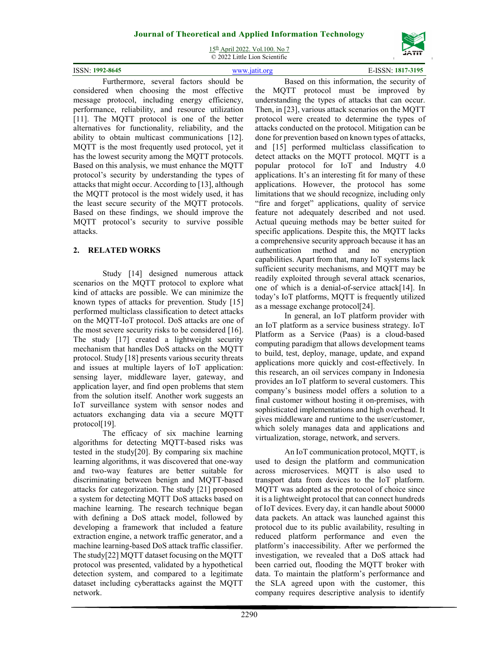15th April 2022. Vol.100. No 7 © 2022 Little Lion Scientific

|                 |     | $\sim$ 2022 DRUG DRUG Decretion |  |   |  |                  |  |
|-----------------|-----|---------------------------------|--|---|--|------------------|--|
| ISSN: 1992-8645 |     |                                 |  |   |  | -ISSN: 1817-3195 |  |
|                 | . . | .                               |  | . |  |                  |  |

Furthermore, several factors should be considered when choosing the most effective message protocol, including energy efficiency, performance, reliability, and resource utilization [11]. The MQTT protocol is one of the better alternatives for functionality, reliability, and the ability to obtain multicast communications [12]. MQTT is the most frequently used protocol, yet it has the lowest security among the MQTT protocols. Based on this analysis, we must enhance the MQTT protocol's security by understanding the types of attacks that might occur. According to [13], although the MQTT protocol is the most widely used, it has the least secure security of the MQTT protocols. Based on these findings, we should improve the MQTT protocol's security to survive possible attacks.

# **2. RELATED WORKS**

Study [14] designed numerous attack scenarios on the MQTT protocol to explore what kind of attacks are possible. We can minimize the known types of attacks for prevention. Study [15] performed multiclass classification to detect attacks on the MQTT-IoT protocol. DoS attacks are one of the most severe security risks to be considered [16]. The study [17] created a lightweight security mechanism that handles DoS attacks on the MQTT protocol. Study [18] presents various security threats and issues at multiple layers of IoT application: sensing layer, middleware layer, gateway, and application layer, and find open problems that stem from the solution itself. Another work suggests an IoT surveillance system with sensor nodes and actuators exchanging data via a secure MQTT protocol[19].

The efficacy of six machine learning algorithms for detecting MQTT-based risks was tested in the study[20]. By comparing six machine learning algorithms, it was discovered that one-way and two-way features are better suitable for discriminating between benign and MQTT-based attacks for categorization. The study [21] proposed a system for detecting MQTT DoS attacks based on machine learning. The research technique began with defining a DoS attack model, followed by developing a framework that included a feature extraction engine, a network traffic generator, and a machine learning-based DoS attack traffic classifier. The study[22] MQTT dataset focusing on the MQTT protocol was presented, validated by a hypothetical detection system, and compared to a legitimate dataset including cyberattacks against the MQTT network.

Based on this information, the security of the MQTT protocol must be improved by understanding the types of attacks that can occur. Then, in [23], various attack scenarios on the MQTT protocol were created to determine the types of attacks conducted on the protocol. Mitigation can be done for prevention based on known types of attacks, and [15] performed multiclass classification to detect attacks on the MQTT protocol. MQTT is a popular protocol for IoT and Industry 4.0 applications. It's an interesting fit for many of these applications. However, the protocol has some limitations that we should recognize, including only "fire and forget" applications, quality of service feature not adequately described and not used. Actual queuing methods may be better suited for specific applications. Despite this, the MQTT lacks a comprehensive security approach because it has an authentication method and no encryption capabilities. Apart from that, many IoT systems lack sufficient security mechanisms, and MQTT may be readily exploited through several attack scenarios, one of which is a denial-of-service attack[14]. In today's IoT platforms, MQTT is frequently utilized as a message exchange protocol[24].

In general, an IoT platform provider with an IoT platform as a service business strategy. IoT Platform as a Service (Paas) is a cloud-based computing paradigm that allows development teams to build, test, deploy, manage, update, and expand applications more quickly and cost-effectively. In this research, an oil services company in Indonesia provides an IoT platform to several customers. This company's business model offers a solution to a final customer without hosting it on-premises, with sophisticated implementations and high overhead. It gives middleware and runtime to the user/customer, which solely manages data and applications and virtualization, storage, network, and servers.

An IoT communication protocol, MQTT, is used to design the platform and communication across microservices. MQTT is also used to transport data from devices to the IoT platform. MQTT was adopted as the protocol of choice since it is a lightweight protocol that can connect hundreds of IoT devices. Every day, it can handle about 50000 data packets. An attack was launched against this protocol due to its public availability, resulting in reduced platform performance and even the platform's inaccessibility. After we performed the investigation, we revealed that a DoS attack had been carried out, flooding the MQTT broker with data. To maintain the platform's performance and the SLA agreed upon with the customer, this company requires descriptive analysis to identify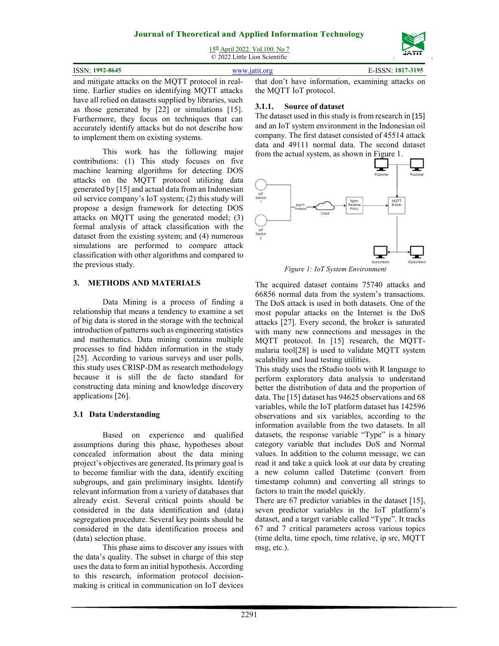

15<sup>th</sup> April 2022. Vol.100. No 7 © 2022 Little Lion Scientific

| ISSN: 1992-8645                                                                                     | www.jatit.org |  |  |
|-----------------------------------------------------------------------------------------------------|---------------|--|--|
| and mitigate attacks on the MOTT protocol in real. that don't have information examining attacks on |               |  |  |

and mitigate attacks on the MQTT protocol in realtime. Earlier studies on identifying MQTT attacks have all relied on datasets supplied by libraries, such as those generated by [22] or simulations [15]. Furthermore, they focus on techniques that can accurately identify attacks but do not describe how to implement them on existing systems.

This work has the following major contributions: (1) This study focuses on five machine learning algorithms for detecting DOS attacks on the MQTT protocol utilizing data generated by [15] and actual data from an Indonesian oil service company's IoT system; (2) this study will propose a design framework for detecting DOS attacks on MQTT using the generated model; (3) formal analysis of attack classification with the dataset from the existing system; and (4) numerous simulations are performed to compare attack classification with other algorithms and compared to the previous study.

### **3. METHODS AND MATERIALS**

Data Mining is a process of finding a relationship that means a tendency to examine a set of big data is stored in the storage with the technical introduction of patterns such as engineering statistics and mathematics. Data mining contains multiple processes to find hidden information in the study [25]. According to various surveys and user polls, this study uses CRISP-DM as research methodology because it is still the de facto standard for constructing data mining and knowledge discovery applications [26].

# **3.1 Data Understanding**

Based on experience and qualified assumptions during this phase, hypotheses about concealed information about the data mining project's objectives are generated. Its primary goal is to become familiar with the data, identify exciting subgroups, and gain preliminary insights. Identify relevant information from a variety of databases that already exist. Several critical points should be considered in the data identification and (data) segregation procedure. Several key points should be considered in the data identification process and (data) selection phase.

This phase aims to discover any issues with the data's quality. The subset in charge of this step uses the data to form an initial hypothesis. According to this research, information protocol decisionmaking is critical in communication on IoT devices

that don't have information, examining attacks on the MQTT IoT protocol.

### **3.1.1. Source of dataset**

The dataset used in this study is from research in [15] and an IoT system environment in the Indonesian oil company. The first dataset consisted of 45514 attack data and 49111 normal data. The second dataset from the actual system, as shown in Figure 1.



The acquired dataset contains 75740 attacks and 66856 normal data from the system's transactions. The DoS attack is used in both datasets. One of the most popular attacks on the Internet is the DoS attacks [27]. Every second, the broker is saturated with many new connections and messages in the MQTT protocol. In [15] research, the MQTTmalaria tool[28] is used to validate MQTT system scalability and load testing utilities.

This study uses the rStudio tools with R language to perform exploratory data analysis to understand better the distribution of data and the proportion of data. The [15] dataset has 94625 observations and 68 variables, while the IoT platform dataset has 142596 observations and six variables, according to the information available from the two datasets. In all datasets, the response variable "Type" is a binary category variable that includes DoS and Normal values. In addition to the column message, we can read it and take a quick look at our data by creating a new column called Datetime (convert from timestamp column) and converting all strings to factors to train the model quickly.

There are 67 predictor variables in the dataset [15], seven predictor variables in the IoT platform's dataset, and a target variable called "Type". It tracks 67 and 7 critical parameters across various topics (time delta, time epoch, time relative, ip src, MQTT msg, etc.).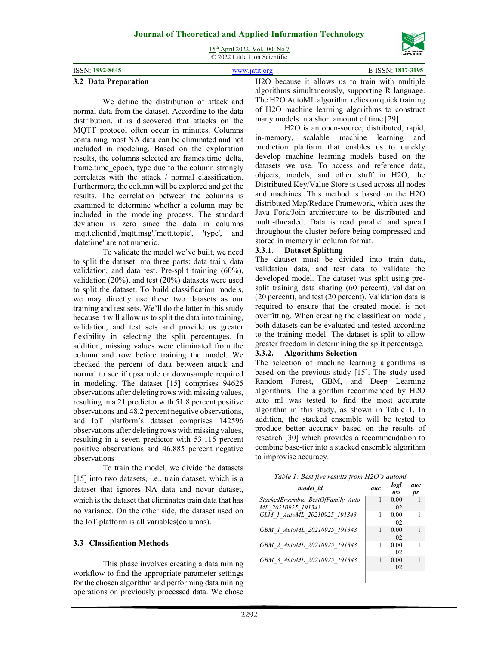15th April 2022. Vol.100. No 7 © 2022 Little Lion Scientific



|                     | $\sim$ 2022 Divite Divit Detenting |                   |
|---------------------|------------------------------------|-------------------|
| ISSN: 1992-8645     |                                    | E-ISSN: 1817-3195 |
| $A$ $A$ $B$ $I$ $B$ | $TT^{\sim}$                        |                   |

#### **3.2 Data Preparation**

We define the distribution of attack and normal data from the dataset. According to the data distribution, it is discovered that attacks on the MQTT protocol often occur in minutes. Columns containing most NA data can be eliminated and not included in modeling. Based on the exploration results, the columns selected are frames.time\_delta, frame.time\_epoch, type due to the column strongly correlates with the attack / normal classification. Furthermore, the column will be explored and get the results. The correlation between the columns is examined to determine whether a column may be included in the modeling process. The standard deviation is zero since the data in columns 'mqtt.clientid','mqtt.msg','mqtt.topic', 'type', and 'datetime' are not numeric.

To validate the model we've built, we need to split the dataset into three parts: data train, data validation, and data test. Pre-split training (60%), validation (20%), and test (20%) datasets were used to split the dataset. To build classification models, we may directly use these two datasets as our training and test sets. We'll do the latter in this study because it will allow us to split the data into training, validation, and test sets and provide us greater flexibility in selecting the split percentages. In addition, missing values were eliminated from the column and row before training the model. We checked the percent of data between attack and normal to see if upsample or downsample required in modeling. The dataset [15] comprises 94625 observations after deleting rows with missing values, resulting in a 21 predictor with 51.8 percent positive observations and 48.2 percent negative observations, and IoT platform's dataset comprises 142596 observations after deleting rows with missing values, resulting in a seven predictor with 53.115 percent positive observations and 46.885 percent negative observations

To train the model, we divide the datasets [15] into two datasets, i.e., train dataset, which is a dataset that ignores NA data and novar dataset, which is the dataset that eliminates train data that has no variance. On the other side, the dataset used on the IoT platform is all variables(columns).

# **3.3 Classification Methods**

This phase involves creating a data mining workflow to find the appropriate parameter settings for the chosen algorithm and performing data mining operations on previously processed data. We chose H2O because it allows us to train with multiple algorithms simultaneously, supporting R language. The H2O AutoML algorithm relies on quick training of H2O machine learning algorithms to construct many models in a short amount of time [29].

H2O is an open-source, distributed, rapid, in-memory, scalable machine learning and prediction platform that enables us to quickly develop machine learning models based on the datasets we use. To access and reference data, objects, models, and other stuff in H2O, the Distributed Key/Value Store is used across all nodes and machines. This method is based on the H2O distributed Map/Reduce Framework, which uses the Java Fork/Join architecture to be distributed and multi-threaded. Data is read parallel and spread throughout the cluster before being compressed and stored in memory in column format.

### **3.3.1. Dataset Splitting**

The dataset must be divided into train data, validation data, and test data to validate the developed model. The dataset was split using presplit training data sharing (60 percent), validation (20 percent), and test (20 percent). Validation data is required to ensure that the created model is not overfitting. When creating the classification model, both datasets can be evaluated and tested according to the training model. The dataset is split to allow greater freedom in determining the split percentage.

### **3.3.2. Algorithms Selection**

The selection of machine learning algorithms is based on the previous study [15]. The study used Random Forest, GBM, and Deep Learning algorithms. The algorithm recommended by H2O auto ml was tested to find the most accurate algorithm in this study, as shown in Table 1. In addition, the stacked ensemble will be tested to produce better accuracy based on the results of research [30] which provides a recommendation to combine base-tier into a stacked ensemble algorithm to improvise accuracy.

| model id                                                | auc | logl<br>oss | auc<br>pr |
|---------------------------------------------------------|-----|-------------|-----------|
| StackedEnsemble BestOfFamily Auto<br>ML 20210925 191343 |     | 0.00<br>02  |           |
| GLM 1 AutoML 20210925 191343                            | 1   | 0.00<br>02  |           |
| GBM 1 AutoML 20210925 191343                            |     | 0.00<br>02  |           |
| GBM 2 AutoML 20210925 191343                            |     | 0.00<br>02  |           |
| GBM 3 AutoML 20210925 191343                            |     | 0.00<br>02  |           |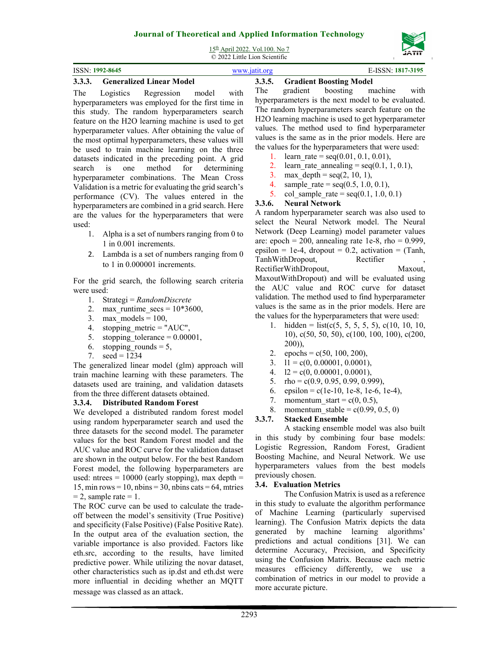15th April 2022. Vol.100. No 7 © 2022 Little Lion Scientific

| ISSN: 1992-8645<br>----<br>$\sim$ | . | . | ---<br>$\sim$ | -ISSN: 1817-3195<br>. |
|-----------------------------------|---|---|---------------|-----------------------|
|                                   |   |   |               |                       |

### **3.3.3. Generalized Linear Model**

The Logistics Regression model with hyperparameters was employed for the first time in this study. The random hyperparameters search feature on the H2O learning machine is used to get hyperparameter values. After obtaining the value of the most optimal hyperparameters, these values will be used to train machine learning on the three datasets indicated in the preceding point. A grid search is one method for determining hyperparameter combinations. The Mean Cross Validation is a metric for evaluating the grid search's performance (CV). The values entered in the hyperparameters are combined in a grid search. Here are the values for the hyperparameters that were used:

- 1. Alpha is a set of numbers ranging from 0 to 1 in 0.001 increments.
- 2. Lambda is a set of numbers ranging from 0 to 1 in 0.000001 increments.

For the grid search, the following search criteria were used:

- 1. Strategi = *RandomDiscrete*
- 2. max runtime  $secs = 10*3600$ ,
- 3. max models =  $100$ ,
- 4. stopping metric = "AUC",
- 5. stopping tolerance  $= 0.00001$ ,
- 6. stopping rounds  $= 5$ ,
- 7.  $seed = 1234$

The generalized linear model (glm) approach will train machine learning with these parameters. The datasets used are training, and validation datasets from the three different datasets obtained.

### **3.3.4. Distributed Random Forest**

We developed a distributed random forest model using random hyperparameter search and used the three datasets for the second model. The parameter values for the best Random Forest model and the AUC value and ROC curve for the validation dataset are shown in the output below. For the best Random Forest model, the following hyperparameters are used: ntrees  $= 10000$  (early stopping), max depth  $=$ 15, min rows  $= 10$ , nbins  $= 30$ , nbins cats  $= 64$ , mtries  $= 2$ , sample rate  $= 1$ .

The ROC curve can be used to calculate the tradeoff between the model's sensitivity (True Positive) and specificity (False Positive) (False Positive Rate). In the output area of the evaluation section, the variable importance is also provided. Factors like eth.src, according to the results, have limited predictive power. While utilizing the novar dataset, other characteristics such as ip.dst and eth.dst were more influential in deciding whether an MQTT message was classed as an attack.

# **3.3.5. Gradient Boosting Model**

The gradient boosting machine with hyperparameters is the next model to be evaluated. The random hyperparameters search feature on the H2O learning machine is used to get hyperparameter values. The method used to find hyperparameter values is the same as in the prior models. Here are the values for the hyperparameters that were used:

- 1. learn rate =  $seq(0.01, 0.1, 0.01)$ ,
- 2. learn rate annealing =  $seq(0.1, 1, 0.1)$ ,
- 3. max\_depth =  $seq(2, 10, 1)$ ,
- 4. sample rate =  $seq(0.5, 1.0, 0.1)$ ,
- 5. col sample rate =  $seq(0.1, 1.0, 0.1)$

### **3.3.6. Neural Network**

A random hyperparameter search was also used to select the Neural Network model. The Neural Network (Deep Learning) model parameter values are: epoch = 200, annealing rate 1e-8, rho =  $0.999$ , epsilon = 1e-4, dropout = 0.2, activation =  $(Tanh,$ TanhWithDropout, Rectifier RectifierWithDropout, Maxout, MaxoutWithDropout) and will be evaluated using the AUC value and ROC curve for dataset validation. The method used to find hyperparameter values is the same as in the prior models. Here are the values for the hyperparameters that were used:

- 1. hidden =  $list(c(5, 5, 5, 5, 5), c(10, 10, 10,$ 10), c(50, 50, 50), c(100, 100, 100), c(200, 200)),
- 2. epochs = c(50, 100, 200),
- 3.  $11 = c(0, 0.00001, 0.0001),$
- 4.  $12 = c(0, 0.00001, 0.0001),$
- 5. rho = c(0.9, 0.95, 0.99, 0.999),
- 6. epsilon = c(1e-10, 1e-8, 1e-6, 1e-4),
- 7. momentum start =  $c(0, 0.5)$ ,
- 8. momentum stable =  $c(0.99, 0.5, 0)$

# **3.3.7. Stacked Ensemble**

A stacking ensemble model was also built in this study by combining four base models: Logistic Regression, Random Forest, Gradient Boosting Machine, and Neural Network. We use hyperparameters values from the best models previously chosen.

# **3.4. Evaluation Metrics**

The Confusion Matrix is used as a reference in this study to evaluate the algorithm performance of Machine Learning (particularly supervised learning). The Confusion Matrix depicts the data generated by machine learning algorithms' predictions and actual conditions [31]. We can determine Accuracy, Precision, and Specificity using the Confusion Matrix. Because each metric measures efficiency differently, we use a combination of metrics in our model to provide a more accurate picture.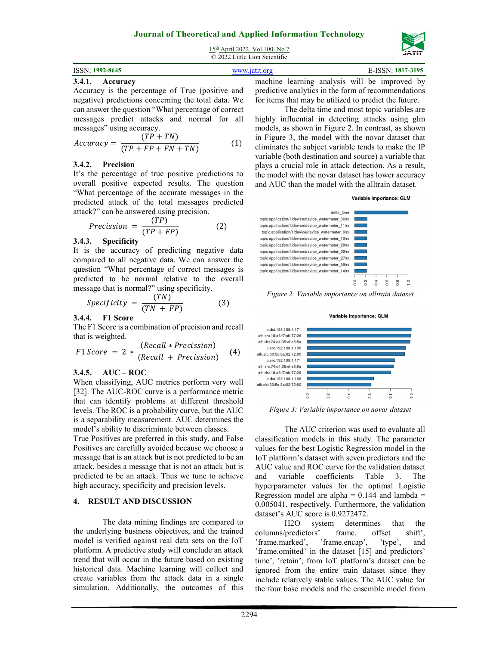

| $15th$ April 2022. Vol.100. No 7 |
|----------------------------------|
| © 2022 Little Lion Scientific    |

### **3.4.1. Accuracy**

Accuracy is the percentage of True (positive and negative) predictions concerning the total data. We can answer the question "What percentage of correct messages predict attacks and normal for all messages" using accuracy.

$$
Accuracy = \frac{(TP + TN)}{(TP + FP + FN + TN)}
$$
 (1)

### **3.4.2. Precision**

It's the percentage of true positive predictions to overall positive expected results. The question "What percentage of the accurate messages in the predicted attack of the total messages predicted attack?" can be answered using precision.

$$
Precision = \frac{(TP)}{(TP + FP)}
$$
 (2)

### **3.4.3. Specificity**

It is the accuracy of predicting negative data compared to all negative data. We can answer the question "What percentage of correct messages is predicted to be normal relative to the overall message that is normal?" using specificity.

$$
Specificity = \frac{(TN)}{(TN + FP)}
$$
 (3)

### **3.4.4. F1 Score**

The F1 Score is a combination of precision and recall that is weighted.

$$
F1 \text{ Score} = 2 * \frac{(\text{Recall} * \text{Precision})}{(\text{Recall} + \text{Precision})} \quad (4)
$$

### **3.4.5. AUC – ROC**

When classifying, AUC metrics perform very well [32]. The AUC-ROC curve is a performance metric that can identify problems at different threshold levels. The ROC is a probability curve, but the AUC is a separability measurement. AUC determines the model's ability to discriminate between classes.

True Positives are preferred in this study, and False Positives are carefully avoided because we choose a message that is an attack but is not predicted to be an attack, besides a message that is not an attack but is predicted to be an attack. Thus we tune to achieve high accuracy, specificity and precision levels.

### **4. RESULT AND DISCUSSION**

The data mining findings are compared to the underlying business objectives, and the trained model is verified against real data sets on the IoT platform. A predictive study will conclude an attack trend that will occur in the future based on existing historical data. Machine learning will collect and create variables from the attack data in a single simulation. Additionally, the outcomes of this machine learning analysis will be improved by predictive analytics in the form of recommendations for items that may be utilized to predict the future.

The delta time and most topic variables are highly influential in detecting attacks using glm models, as shown in Figure 2. In contrast, as shown in Figure 3, the model with the novar dataset that eliminates the subject variable tends to make the IP variable (both destination and source) a variable that plays a crucial role in attack detection. As a result, the model with the novar dataset has lower accuracy and AUC than the model with the alltrain dataset.



*Figure 2: Variable importance on alltrain dataset* 



*Figure 3: Variable importance on novar dataset* 

The AUC criterion was used to evaluate all classification models in this study. The parameter values for the best Logistic Regression model in the IoT platform's dataset with seven predictors and the AUC value and ROC curve for the validation dataset and variable coefficients Table 3. The hyperparameter values for the optimal Logistic Regression model are alpha  $= 0.144$  and lambda  $=$ 0.005041, respectively. Furthermore, the validation dataset's AUC score is 0.9272472.

H2O system determines that the columns/predictors' frame. offset shift',<br>'frame.marked', 'frame.encap', 'type', and 'frame.marked', 'frame.encap', 'type', and 'frame.omitted' in the dataset [15] and predictors' time', 'retain', from IoT platform's dataset can be ignored from the entire train dataset since they include relatively stable values. The AUC value for the four base models and the ensemble model from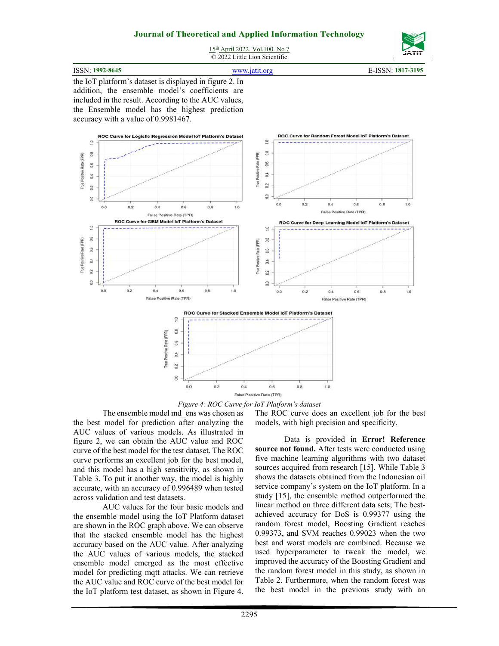

15th April 2022. Vol.100. No 7 © 2022 Little Lion Scientific

| ISSN: 1992-8645 | $WWW$ 1911 $\alpha$ ro | 1817-3195<br><b>ICCN</b> |
|-----------------|------------------------|--------------------------|
|                 |                        |                          |
|                 |                        |                          |

the IoT platform's dataset is displayed in figure 2. In addition, the ensemble model's coefficients are included in the result. According to the AUC values, the Ensemble model has the highest prediction accuracy with a value of 0.9981467.



*Figure 4: ROC Curve for IoT Platform's dataset* 

The ensemble model md\_ens was chosen as the best model for prediction after analyzing the AUC values of various models. As illustrated in figure 2, we can obtain the AUC value and ROC curve of the best model for the test dataset. The ROC curve performs an excellent job for the best model, and this model has a high sensitivity, as shown in Table 3. To put it another way, the model is highly accurate, with an accuracy of 0.996489 when tested across validation and test datasets.

AUC values for the four basic models and the ensemble model using the IoT Platform dataset are shown in the ROC graph above. We can observe that the stacked ensemble model has the highest accuracy based on the AUC value. After analyzing the AUC values of various models, the stacked ensemble model emerged as the most effective model for predicting mqtt attacks. We can retrieve the AUC value and ROC curve of the best model for the IoT platform test dataset, as shown in Figure 4.

The ROC curve does an excellent job for the best models, with high precision and specificity.

Data is provided in **Error! Reference source not found.** After tests were conducted using five machine learning algorithms with two dataset sources acquired from research [15]. While Table 3 shows the datasets obtained from the Indonesian oil service company's system on the IoT platform. In a study [15], the ensemble method outperformed the linear method on three different data sets; The bestachieved accuracy for DoS is 0.99377 using the random forest model, Boosting Gradient reaches 0.99373, and SVM reaches 0.99023 when the two best and worst models are combined. Because we used hyperparameter to tweak the model, we improved the accuracy of the Boosting Gradient and the random forest model in this study, as shown in Table 2. Furthermore, when the random forest was the best model in the previous study with an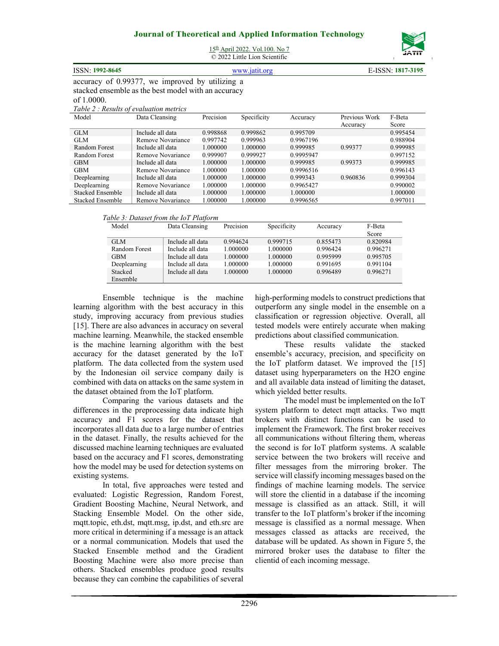

15<sup>th</sup> April 2022. Vol.100. No 7

© 2022 Little Lion Scientific

| <b>ISSN: 1992-8645</b>                              | www.jatit.org | E-ISSN: 1817-3195 |
|-----------------------------------------------------|---------------|-------------------|
| accuracy of 0.99377, we improved by utilizing a     |               |                   |
| stacked ensemble as the best model with an accuracy |               |                   |

ed ensemble as the best model with an accuracy of 1.0000.

| Table 2 : Results of evaluation metrics |  |
|-----------------------------------------|--|
|                                         |  |

| Model                   | Data Cleansing    | Precision | Specificity | Accuracy  | Previous Work | F-Beta   |
|-------------------------|-------------------|-----------|-------------|-----------|---------------|----------|
|                         |                   |           |             |           | Accuracy      | Score    |
| <b>GLM</b>              | Include all data  | 0.998868  | 0.999862    | 0.995709  |               | 0.995454 |
| <b>GLM</b>              | Remove Novariance | 0.997742  | 0.999963    | 0.9967196 |               | 0.988904 |
| Random Forest           | Include all data  | 1.000000  | 1.000000    | 0.999985  | 0.99377       | 0.999985 |
| Random Forest           | Remove Novariance | 0.999907  | 0.999927    | 0.9995947 |               | 0.997152 |
| <b>GBM</b>              | Include all data  | 1.000000  | 1.000000    | 0.999985  | 0.99373       | 0.999985 |
| <b>GBM</b>              | Remove Novariance | 1.000000  | 1.000000    | 0.9996516 |               | 0.996143 |
| Deeplearning            | Include all data  | 1.000000  | 1.000000    | 0.999343  | 0.960836      | 0.999304 |
| Deeplearning            | Remove Novariance | 1.000000  | 1.000000    | 0.9965427 |               | 0.990002 |
| <b>Stacked Ensemble</b> | Include all data  | 1.000000  | 1.000000    | 1.000000  |               | 1.000000 |
| <b>Stacked Ensemble</b> | Remove Novariance | 1.000000  | 1.000000    | 0.9996565 |               | 0.997011 |

*Table 3: Dataset from the IoT Platform* 

| Model         | Data Cleansing   | Precision | Specificity | Accuracy | F-Beta   |
|---------------|------------------|-----------|-------------|----------|----------|
|               |                  |           |             |          | Score    |
| <b>GLM</b>    | Include all data | 0.994624  | 0.999715    | 0.855473 | 0.820984 |
| Random Forest | Include all data | 1.000000  | 1.000000    | 0.996424 | 0.996271 |
| <b>GBM</b>    | Include all data | 1.000000  | 1.000000    | 0.995999 | 0.995705 |
| Deeplearning  | Include all data | 1.000000  | 1.000000    | 0.991695 | 0.991104 |
| Stacked       | Include all data | 1.000000  | 1.000000    | 0.996489 | 0.996271 |
| Ensemble      |                  |           |             |          |          |

Ensemble technique is the machine learning algorithm with the best accuracy in this study, improving accuracy from previous studies [15]. There are also advances in accuracy on several machine learning. Meanwhile, the stacked ensemble is the machine learning algorithm with the best accuracy for the dataset generated by the IoT platform. The data collected from the system used by the Indonesian oil service company daily is combined with data on attacks on the same system in the dataset obtained from the IoT platform.

Comparing the various datasets and the differences in the preprocessing data indicate high accuracy and F1 scores for the dataset that incorporates all data due to a large number of entries in the dataset. Finally, the results achieved for the discussed machine learning techniques are evaluated based on the accuracy and F1 scores, demonstrating how the model may be used for detection systems on existing systems.

In total, five approaches were tested and evaluated: Logistic Regression, Random Forest, Gradient Boosting Machine, Neural Network, and Stacking Ensemble Model. On the other side, mqtt.topic, eth.dst, mqtt.msg, ip.dst, and eth.src are more critical in determining if a message is an attack or a normal communication. Models that used the Stacked Ensemble method and the Gradient Boosting Machine were also more precise than others. Stacked ensembles produce good results because they can combine the capabilities of several high-performing models to construct predictions that outperform any single model in the ensemble on a classification or regression objective. Overall, all tested models were entirely accurate when making predictions about classified communication.

These results validate the stacked ensemble's accuracy, precision, and specificity on the IoT platform dataset. We improved the [15] dataset using hyperparameters on the H2O engine and all available data instead of limiting the dataset, which yielded better results.

The model must be implemented on the IoT system platform to detect mqtt attacks. Two mqtt brokers with distinct functions can be used to implement the Framework. The first broker receives all communications without filtering them, whereas the second is for IoT platform systems. A scalable service between the two brokers will receive and filter messages from the mirroring broker. The service will classify incoming messages based on the findings of machine learning models. The service will store the clientid in a database if the incoming message is classified as an attack. Still, it will transfer to the IoT platform's broker if the incoming message is classified as a normal message. When messages classed as attacks are received, the database will be updated. As shown in Figure 5, the mirrored broker uses the database to filter the clientid of each incoming message.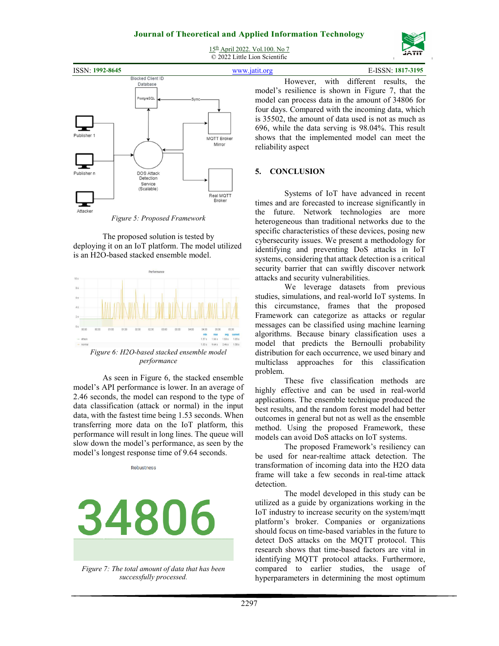15<sup>th</sup> April 2022. Vol.100. No 7 © 2022 Little Lion Scientific



| <b>ISSN: 1992-8645</b> |                                                         | www.jatit.org                               |                                                                                                                                                                                                                                                                                                                                                 |                                        | E-ISSN: 1817-3195 |  |
|------------------------|---------------------------------------------------------|---------------------------------------------|-------------------------------------------------------------------------------------------------------------------------------------------------------------------------------------------------------------------------------------------------------------------------------------------------------------------------------------------------|----------------------------------------|-------------------|--|
| Publisher 1            | <b>Blocked Client ID</b><br>Database<br>PostgreSQL      | <b>Sync</b><br><b>MQTT Broker</b><br>Mirror | model's resilience is shown in Figure 7, that the<br>model can process data in the amount of 34806 for<br>four days. Compared with the incoming data, which<br>is 35502, the amount of data used is not as much as<br>696, while the data serving is 98.04%. This result<br>shows that the implemented model can meet the<br>reliability aspect | However, with different results, the   |                   |  |
| Publisher n            | <b>DOS Attack</b><br>Detection<br>Service<br>(Scalable) | Real MQ<br>Dealers                          | <b>CONCLUSION</b>                                                                                                                                                                                                                                                                                                                               | Systems of IoT have advanced in recent |                   |  |

times and are forecasted to increase significantly in the future. Network technologies are more heterogeneous than traditional networks due to the specific characteristics of these devices, posing new cybersecurity issues. We present a methodology for identifying and preventing DoS attacks in IoT systems, considering that attack detection is a critical security barrier that can swiftly discover network attacks and security vulnerabilities.

We leverage datasets from previous studies, simulations, and real-world IoT systems. In this circumstance, frames that the proposed Framework can categorize as attacks or regular messages can be classified using machine learning algorithms. Because binary classification uses a model that predicts the Bernoulli probability distribution for each occurrence, we used binary and multiclass approaches for this classification problem.

These five classification methods are highly effective and can be used in real-world applications. The ensemble technique produced the best results, and the random forest model had better outcomes in general but not as well as the ensemble method. Using the proposed Framework, these models can avoid DoS attacks on IoT systems.

The proposed Framework's resiliency can be used for near-realtime attack detection. The transformation of incoming data into the H2O data frame will take a few seconds in real-time attack detection.

The model developed in this study can be utilized as a guide by organizations working in the IoT industry to increase security on the system/mqtt platform's broker. Companies or organizations should focus on time-based variables in the future to detect DoS attacks on the MQTT protocol. This research shows that time-based factors are vital in identifying MQTT protocol attacks. Furthermore, compared to earlier studies, the usage of hyperparameters in determining the most optimum

*Figure 5: Proposed Framework* 

≖ Attacker

The proposed solution is tested by deploying it on an IoT platform. The model utilized is an H2O-based stacked ensemble model.



*Figure 6: H2O-based stacked ensemble model performance*

As seen in Figure 6, the stacked ensemble model's API performance is lower. In an average of 2.46 seconds, the model can respond to the type of data classification (attack or normal) in the input data, with the fastest time being 1.53 seconds. When transferring more data on the IoT platform, this performance will result in long lines. The queue will slow down the model's performance, as seen by the model's longest response time of 9.64 seconds.

Robustness

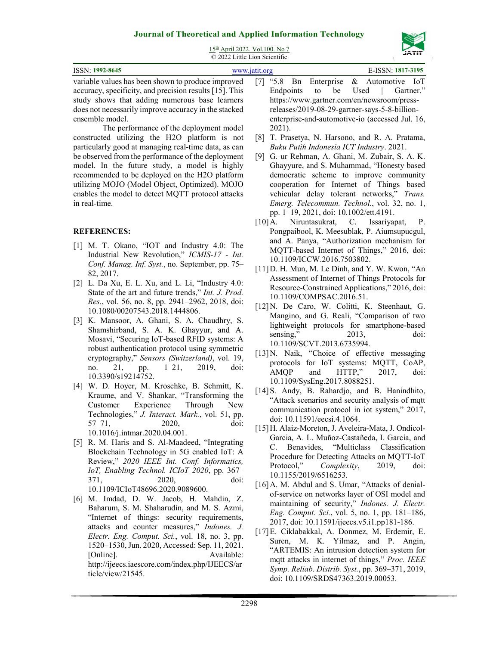

15th April 2022. Vol.100. No 7

| © 2022 Little Lion Scientific                                                                                                                                                                                                                                                                                                                                                                                                    |                                                                                                                                                                                                                                                                                                                                                                                                                                                        |
|----------------------------------------------------------------------------------------------------------------------------------------------------------------------------------------------------------------------------------------------------------------------------------------------------------------------------------------------------------------------------------------------------------------------------------|--------------------------------------------------------------------------------------------------------------------------------------------------------------------------------------------------------------------------------------------------------------------------------------------------------------------------------------------------------------------------------------------------------------------------------------------------------|
| ISSN: 1992-8645                                                                                                                                                                                                                                                                                                                                                                                                                  | E-ISSN: 1817-3195<br>www.jatit.org                                                                                                                                                                                                                                                                                                                                                                                                                     |
| variable values has been shown to produce improved<br>accuracy, specificity, and precision results [15]. This<br>study shows that adding numerous base learners<br>does not necessarily improve accuracy in the stacked<br>ensemble model.<br>The performance of the deployment model<br>constructed utilizing the H2O platform is not                                                                                           | Enterprise<br>& Automotive<br>$\cdot 5.8$<br>$\lceil 7 \rceil$<br>Bn<br>- IoT<br>be<br>Used<br>Endpoints<br>to<br>Gartner."<br>https://www.gartner.com/en/newsroom/press-<br>releases/2019-08-29-gartner-says-5-8-billion-<br>enterprise-and-automotive-io (accessed Jul. 16,<br>2021).<br>T. Prasetya, N. Harsono, and R. A. Pratama,<br>[8]                                                                                                          |
| particularly good at managing real-time data, as can<br>be observed from the performance of the deployment<br>model. In the future study, a model is highly<br>recommended to be deployed on the H2O platform<br>utilizing MOJO (Model Object, Optimized). MOJO<br>enables the model to detect MQTT protocol attacks<br>in real-time.                                                                                            | Buku Putih Indonesia ICT Industry. 2021.<br>G. ur Rehman, A. Ghani, M. Zubair, S. A. K.<br>[9]<br>Ghayyure, and S. Muhammad, "Honesty based<br>democratic scheme to improve community<br>cooperation for Internet of Things based<br>vehicular delay tolerant networks," Trans.<br>Emerg. Telecommun. Technol., vol. 32, no. 1,<br>pp. 1-19, 2021, doi: 10.1002/ett.4191.<br>Niruntasukrat, C.<br>Issariyapat,<br>$[10]$ A.<br>P.                      |
| <b>REFERENCES:</b><br>[1] M. T. Okano, "IOT and Industry 4.0: The<br>Industrial New Revolution," ICMIS-17 - Int.<br>Conf. Manag. Inf. Syst., no. September, pp. 75-<br>82, 2017.<br>[2] L. Da Xu, E. L. Xu, and L. Li, "Industry 4.0:<br>State of the art and future trends," Int. J. Prod.<br>Res., vol. 56, no. 8, pp. 2941-2962, 2018, doi:<br>10.1080/00207543.2018.1444806.<br>[3] K. Mansoor, A. Ghani, S. A. Chaudhry, S. | Pongpaibool, K. Meesublak, P. Aiumsupucgul,<br>and A. Panya, "Authorization mechanism for<br>MQTT-based Internet of Things," 2016, doi:<br>10.1109/ICCW.2016.7503802.<br>[11] D. H. Mun, M. Le Dinh, and Y. W. Kwon, "An<br>Assessment of Internet of Things Protocols for<br>Resource-Constrained Applications," 2016, doi:<br>10.1109/COMPSAC.2016.51.<br>[12] N. De Caro, W. Colitti, K. Steenhaut, G.<br>Mangino, and G. Reali, "Comparison of two |
| Shamshirband, S. A. K. Ghayyur, and A.                                                                                                                                                                                                                                                                                                                                                                                           | lightweight protocols for smartphone-based<br>2013,<br>sensing,"<br>doi:                                                                                                                                                                                                                                                                                                                                                                               |

- Mosavi, "Securing IoT-based RFID systems: A robust authentication protocol using symmetric cryptography," *Sensors (Switzerland)*, vol. 19, no. 21, pp. 1–21, 2019, doi: 10.3390/s19214752.
- [4] W. D. Hoyer, M. Kroschke, B. Schmitt, K. Kraume, and V. Shankar, "Transforming the Customer Experience Through New Technologies," *J. Interact. Mark.*, vol. 51, pp. 57–71, 2020, doi: 10.1016/j.intmar.2020.04.001.
- [5] R. M. Haris and S. Al-Maadeed, "Integrating Blockchain Technology in 5G enabled IoT: A Review," *2020 IEEE Int. Conf. Informatics, IoT, Enabling Technol. ICIoT 2020*, pp. 367– 371, 2020, doi: 10.1109/ICIoT48696.2020.9089600.
- [6] M. Imdad, D. W. Jacob, H. Mahdin, Z. Baharum, S. M. Shaharudin, and M. S. Azmi, "Internet of things: security requirements, attacks and counter measures," *Indones. J. Electr. Eng. Comput. Sci.*, vol. 18, no. 3, pp. 1520–1530, Jun. 2020, Accessed: Sep. 11, 2021. [Online]. Available: http://ijeecs.iaescore.com/index.php/IJEECS/ar ticle/view/21545.
- [7] "5.8 Bn Enterprise & Automotive IoT Endpoints to be Used | Gartner." enterprise-and-automotive-io (accessed Jul. 16,
- [8] T. Prasetya, N. Harsono, and R. A. Pratama,
- [9] G. ur Rehman, A. Ghani, M. Zubair, S. A. K. Ghayyure, and S. Muhammad, "Honesty based democratic scheme to improve community cooperation for Internet of Things based vehicular delay tolerant networks," *Trans. Emerg. Telecommun. Technol.*, vol. 32, no. 1,
- Pongpaibool, K. Meesublak, P. Aiumsupucgul, and A. Panya, "Authorization mechanism for MQTT-based Internet of Things," 2016, doi:
- [11] D. H. Mun, M. Le Dinh, and Y. W. Kwon, "An Assessment of Internet of Things Protocols for Resource-Constrained Applications," 2016, doi:
- [12] N. De Caro, W. Colitti, K. Steenhaut, G. Mangino, and G. Reali, "Comparison of two lightweight protocols for smartphone-based sensing," 2013, doi: 10.1109/SCVT.2013.6735994.
- [13] N. Naik, "Choice of effective messaging protocols for IoT systems: MQTT, CoAP, AMQP and HTTP," 2017, doi: 10.1109/SysEng.2017.8088251.
- [14] S. Andy, B. Rahardjo, and B. Hanindhito, "Attack scenarios and security analysis of mqtt communication protocol in iot system," 2017, doi: 10.11591/eecsi.4.1064.
- [15] H. Alaiz-Moreton, J. Aveleira-Mata, J. Ondicol-Garcia, A. L. Muñoz-Castañeda, I. García, and C. Benavides, "Multiclass Classification Procedure for Detecting Attacks on MQTT-IoT Protocol," *Complexity*, 2019, doi: 10.1155/2019/6516253.
- [16] A. M. Abdul and S. Umar, "Attacks of denialof-service on networks layer of OSI model and maintaining of security," *Indones. J. Electr. Eng. Comput. Sci.*, vol. 5, no. 1, pp. 181–186, 2017, doi: 10.11591/ijeecs.v5.i1.pp181-186.
- [17] E. Ciklabakkal, A. Donmez, M. Erdemir, E. Suren, M. K. Yilmaz, and P. Angin, "ARTEMIS: An intrusion detection system for mqtt attacks in internet of things," *Proc. IEEE Symp. Reliab. Distrib. Syst.*, pp. 369–371, 2019, doi: 10.1109/SRDS47363.2019.00053.